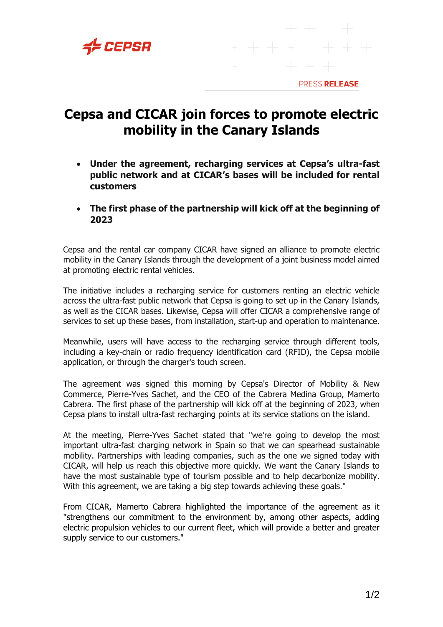

## PRESS RELEASE

## **Cepsa and CICAR join forces to promote electric mobility in the Canary Islands**

- **Under the agreement, recharging services at Cepsa's ultra-fast public network and at CICAR's bases will be included for rental customers**
- **The first phase of the partnership will kick off at the beginning of 2023**

Cepsa and the rental car company CICAR have signed an alliance to promote electric mobility in the Canary Islands through the development of a joint business model aimed at promoting electric rental vehicles.

The initiative includes a recharging service for customers renting an electric vehicle across the ultra-fast public network that Cepsa is going to set up in the Canary Islands, as well as the CICAR bases. Likewise, Cepsa will offer CICAR a comprehensive range of services to set up these bases, from installation, start-up and operation to maintenance.

Meanwhile, users will have access to the recharging service through different tools, including a key-chain or radio frequency identification card (RFID), the Cepsa mobile application, or through the charger's touch screen.

The agreement was signed this morning by Cepsa's Director of Mobility & New Commerce, Pierre-Yves Sachet, and the CEO of the Cabrera Medina Group, Mamerto Cabrera. The first phase of the partnership will kick off at the beginning of 2023, when Cepsa plans to install ultra-fast recharging points at its service stations on the island.

At the meeting, Pierre-Yves Sachet stated that "we're going to develop the most important ultra-fast charging network in Spain so that we can spearhead sustainable mobility. Partnerships with leading companies, such as the one we signed today with CICAR, will help us reach this objective more quickly. We want the Canary Islands to have the most sustainable type of tourism possible and to help decarbonize mobility. With this agreement, we are taking a big step towards achieving these goals."

From CICAR, Mamerto Cabrera highlighted the importance of the agreement as it "strengthens our commitment to the environment by, among other aspects, adding electric propulsion vehicles to our current fleet, which will provide a better and greater supply service to our customers."